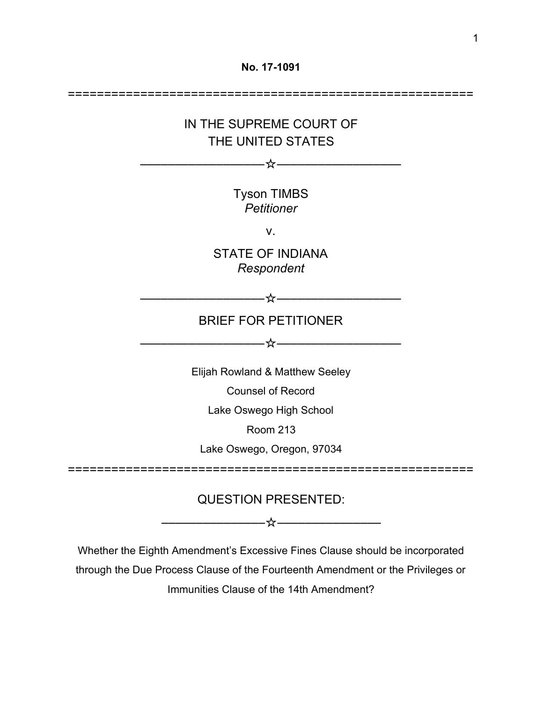

Whether the Eighth Amendment's Excessive Fines Clause should be incorporated through the Due Process Clause of the Fourteenth Amendment or the Privileges or Immunities Clause of the 14th Amendment?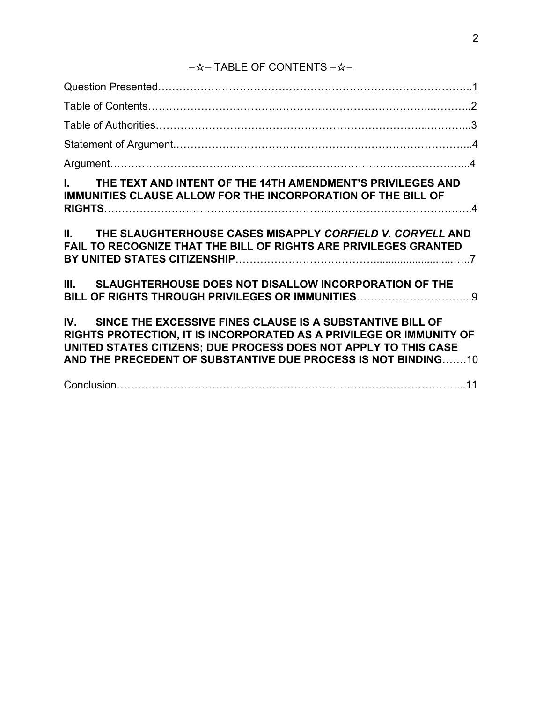# –☆– TABLE OF CONTENTS –☆–

| I. THE TEXT AND INTENT OF THE 14TH AMENDMENT'S PRIVILEGES AND<br>IMMUNITIES CLAUSE ALLOW FOR THE INCORPORATION OF THE BILL OF                                                                                                                                            |  |
|--------------------------------------------------------------------------------------------------------------------------------------------------------------------------------------------------------------------------------------------------------------------------|--|
| II. THE SLAUGHTERHOUSE CASES MISAPPLY CORFIELD V. CORYELL AND<br>FAIL TO RECOGNIZE THAT THE BILL OF RIGHTS ARE PRIVILEGES GRANTED                                                                                                                                        |  |
| III. SLAUGHTERHOUSE DOES NOT DISALLOW INCORPORATION OF THE                                                                                                                                                                                                               |  |
| IV. SINCE THE EXCESSIVE FINES CLAUSE IS A SUBSTANTIVE BILL OF<br>RIGHTS PROTECTION, IT IS INCORPORATED AS A PRIVILEGE OR IMMUNITY OF<br>UNITED STATES CITIZENS; DUE PROCESS DOES NOT APPLY TO THIS CASE<br>AND THE PRECEDENT OF SUBSTANTIVE DUE PROCESS IS NOT BINDING10 |  |
|                                                                                                                                                                                                                                                                          |  |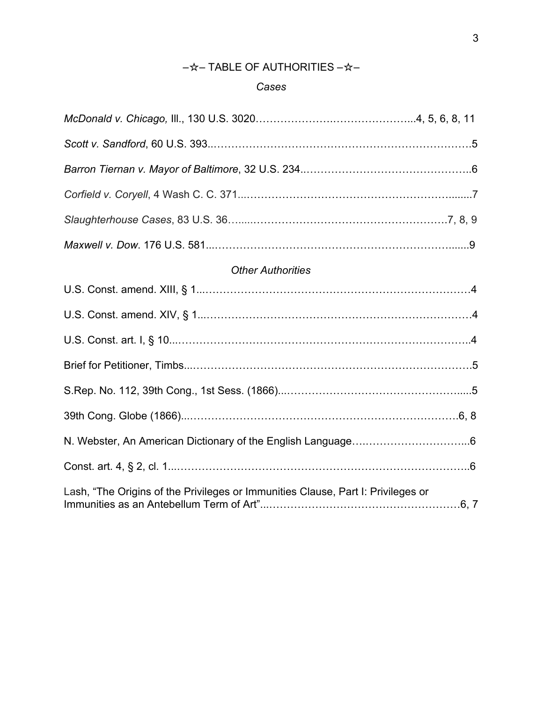## –☆– TABLE OF AUTHORITIES –☆–

### *Cases*

| <b>Other Authorities</b>                                                         |  |
|----------------------------------------------------------------------------------|--|
|                                                                                  |  |
|                                                                                  |  |
|                                                                                  |  |
|                                                                                  |  |
|                                                                                  |  |
|                                                                                  |  |
|                                                                                  |  |
|                                                                                  |  |
| Lash, "The Origins of the Privileges or Immunities Clause, Part I: Privileges or |  |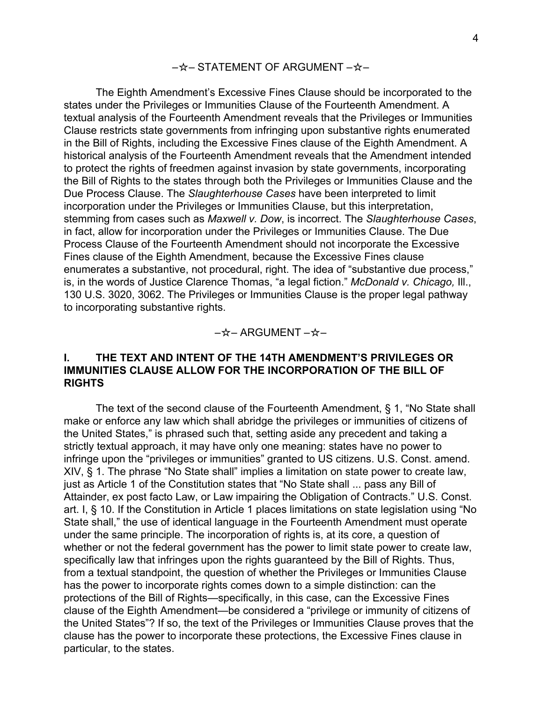#### –☆– STATEMENT OF ARGUMENT –☆–

The Eighth Amendment's Excessive Fines Clause should be incorporated to the states under the Privileges or Immunities Clause of the Fourteenth Amendment. A textual analysis of the Fourteenth Amendment reveals that the Privileges or Immunities Clause restricts state governments from infringing upon substantive rights enumerated in the Bill of Rights, including the Excessive Fines clause of the Eighth Amendment. A historical analysis of the Fourteenth Amendment reveals that the Amendment intended to protect the rights of freedmen against invasion by state governments, incorporating the Bill of Rights to the states through both the Privileges or Immunities Clause and the Due Process Clause. The *Slaughterhouse Cases* have been interpreted to limit incorporation under the Privileges or Immunities Clause, but this interpretation, stemming from cases such as *Maxwell v. Dow*, is incorrect. The *Slaughterhouse Cases*, in fact, allow for incorporation under the Privileges or Immunities Clause. The Due Process Clause of the Fourteenth Amendment should not incorporate the Excessive Fines clause of the Eighth Amendment, because the Excessive Fines clause enumerates a substantive, not procedural, right. The idea of "substantive due process," is, in the words of Justice Clarence Thomas, "a legal fiction." *McDonald v. Chicago,* Ill., 130 U.S. 3020, 3062. The Privileges or Immunities Clause is the proper legal pathway to incorporating substantive rights.

#### –☆– ARGUMENT –☆–

#### **I. THE TEXT AND INTENT OF THE 14TH AMENDMENT'S PRIVILEGES OR IMMUNITIES CLAUSE ALLOW FOR THE INCORPORATION OF THE BILL OF RIGHTS**

The text of the second clause of the Fourteenth Amendment, § 1, "No State shall make or enforce any law which shall abridge the privileges or immunities of citizens of the United States," is phrased such that, setting aside any precedent and taking a strictly textual approach, it may have only one meaning: states have no power to infringe upon the "privileges or immunities" granted to US citizens. U.S. Const. amend. XIV, § 1. The phrase "No State shall" implies a limitation on state power to create law, just as Article 1 of the Constitution states that "No State shall ... pass any Bill of Attainder, ex post facto Law, or Law impairing the Obligation of Contracts." U.S. Const. art. I, § 10. If the Constitution in Article 1 places limitations on state legislation using "No State shall," the use of identical language in the Fourteenth Amendment must operate under the same principle. The incorporation of rights is, at its core, a question of whether or not the federal government has the power to limit state power to create law, specifically law that infringes upon the rights guaranteed by the Bill of Rights. Thus, from a textual standpoint, the question of whether the Privileges or Immunities Clause has the power to incorporate rights comes down to a simple distinction: can the protections of the Bill of Rights—specifically, in this case, can the Excessive Fines clause of the Eighth Amendment—be considered a "privilege or immunity of citizens of the United States"? If so, the text of the Privileges or Immunities Clause proves that the clause has the power to incorporate these protections, the Excessive Fines clause in particular, to the states.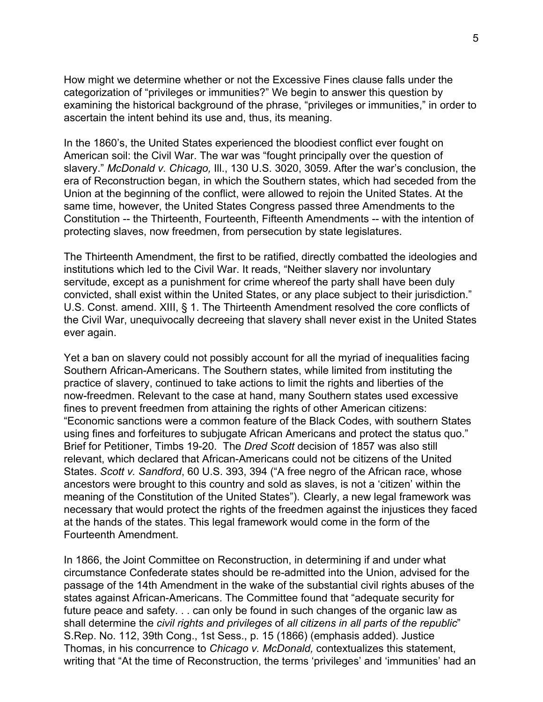How might we determine whether or not the Excessive Fines clause falls under the categorization of "privileges or immunities?" We begin to answer this question by examining the historical background of the phrase, "privileges or immunities," in order to ascertain the intent behind its use and, thus, its meaning.

In the 1860's, the United States experienced the bloodiest conflict ever fought on American soil: the Civil War. The war was "fought principally over the question of slavery." *McDonald v. Chicago,* Ill., 130 U.S. 3020, 3059. After the war's conclusion, the era of Reconstruction began, in which the Southern states, which had seceded from the Union at the beginning of the conflict, were allowed to rejoin the United States. At the same time, however, the United States Congress passed three Amendments to the Constitution -- the Thirteenth, Fourteenth, Fifteenth Amendments -- with the intention of protecting slaves, now freedmen, from persecution by state legislatures.

The Thirteenth Amendment, the first to be ratified, directly combatted the ideologies and institutions which led to the Civil War. It reads, "Neither slavery nor involuntary servitude, except as a punishment for crime whereof the party shall have been duly convicted, shall exist within the United States, or any place subject to their jurisdiction." U.S. Const. amend. XIII, § 1. The Thirteenth Amendment resolved the core conflicts of the Civil War, unequivocally decreeing that slavery shall never exist in the United States ever again.

Yet a ban on slavery could not possibly account for all the myriad of inequalities facing Southern African-Americans. The Southern states, while limited from instituting the practice of slavery, continued to take actions to limit the rights and liberties of the now-freedmen. Relevant to the case at hand, many Southern states used excessive fines to prevent freedmen from attaining the rights of other American citizens: "Economic sanctions were a common feature of the Black Codes, with southern States using fines and forfeitures to subjugate African Americans and protect the status quo." Brief for Petitioner, Timbs 19-20. The *Dred Scott* decision of 1857 was also still relevant, which declared that African-Americans could not be citizens of the United States. *Scott v. Sandford*, 60 U.S. 393, 394 ("A free negro of the African race, whose ancestors were brought to this country and sold as slaves, is not a 'citizen' within the meaning of the Constitution of the United States"). Clearly, a new legal framework was necessary that would protect the rights of the freedmen against the injustices they faced at the hands of the states. This legal framework would come in the form of the Fourteenth Amendment.

In 1866, the Joint Committee on Reconstruction, in determining if and under what circumstance Confederate states should be re-admitted into the Union, advised for the passage of the 14th Amendment in the wake of the substantial civil rights abuses of the states against African-Americans. The Committee found that "adequate security for future peace and safety. . . can only be found in such changes of the organic law as shall determine the *civil rights and privileges* of *all citizens in all parts of the republic*" S.Rep. No. 112, 39th Cong., 1st Sess., p. 15 (1866) (emphasis added). Justice Thomas, in his concurrence to *Chicago v. McDonald,* contextualizes this statement, writing that "At the time of Reconstruction, the terms 'privileges' and 'immunities' had an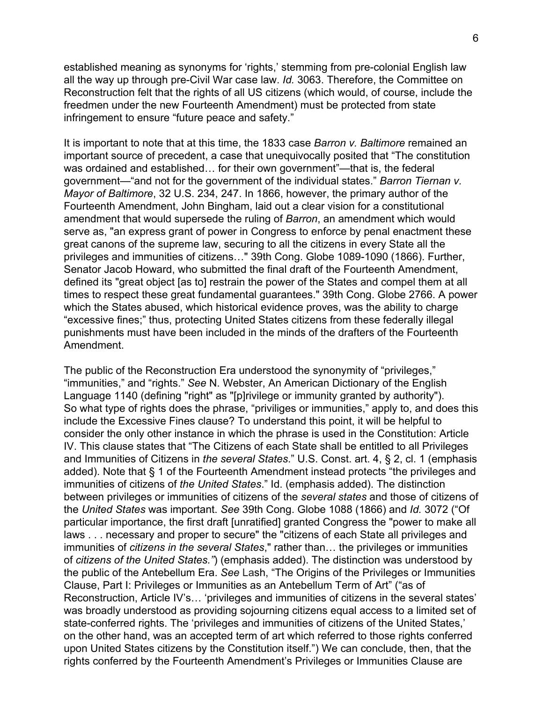established meaning as synonyms for 'rights,' stemming from pre-colonial English law all the way up through pre-Civil War case law. *Id.* 3063. Therefore, the Committee on Reconstruction felt that the rights of all US citizens (which would, of course, include the freedmen under the new Fourteenth Amendment) must be protected from state infringement to ensure "future peace and safety."

It is important to note that at this time, the 1833 case *Barron v. Baltimore* remained an important source of precedent, a case that unequivocally posited that "The constitution was ordained and established… for their own government"—that is, the federal government—"and not for the government of the individual states." *Barron Tiernan v. Mayor of Baltimore*, 32 U.S. 234, 247. In 1866, however, the primary author of the Fourteenth Amendment, John Bingham, laid out a clear vision for a constitutional amendment that would supersede the ruling of *Barron*, an amendment which would serve as, "an express grant of power in Congress to enforce by penal enactment these great canons of the supreme law, securing to all the citizens in every State all the privileges and immunities of citizens…" 39th Cong. Globe 1089-1090 (1866). Further, Senator Jacob Howard, who submitted the final draft of the Fourteenth Amendment, defined its "great object [as to] restrain the power of the States and compel them at all times to respect these great fundamental guarantees." 39th Cong. Globe 2766. A power which the States abused, which historical evidence proves, was the ability to charge "excessive fines;" thus, protecting United States citizens from these federally illegal punishments must have been included in the minds of the drafters of the Fourteenth Amendment.

The public of the Reconstruction Era understood the synonymity of "privileges," "immunities," and "rights." *See* N. Webster, An American Dictionary of the English Language 1140 (defining "right" as "[p]rivilege or immunity granted by authority"). So what type of rights does the phrase, "priviliges or immunities," apply to, and does this include the Excessive Fines clause? To understand this point, it will be helpful to consider the only other instance in which the phrase is used in the Constitution: Article IV. This clause states that "The Citizens of each State shall be entitled to all Privileges and Immunities of Citizens in *the several States*." U.S. Const. art. 4, § 2, cl. 1 (emphasis added). Note that § 1 of the Fourteenth Amendment instead protects "the privileges and immunities of citizens of *the United States*." Id. (emphasis added). The distinction between privileges or immunities of citizens of the *several states* and those of citizens of the *United States* was important. *See* 39th Cong. Globe 1088 (1866) and *Id.* 3072 ("Of particular importance, the first draft [unratified] granted Congress the "power to make all laws . . . necessary and proper to secure" the "citizens of each State all privileges and immunities of *citizens in the several States*," rather than… the privileges or immunities of *citizens of the United States."*) (emphasis added). The distinction was understood by the public of the Antebellum Era. *See* Lash, "The Origins of the Privileges or Immunities Clause, Part I: Privileges or Immunities as an Antebellum Term of Art" ("as of Reconstruction, Article IV's… 'privileges and immunities of citizens in the several states' was broadly understood as providing sojourning citizens equal access to a limited set of state-conferred rights. The 'privileges and immunities of citizens of the United States,' on the other hand, was an accepted term of art which referred to those rights conferred upon United States citizens by the Constitution itself.") We can conclude, then, that the rights conferred by the Fourteenth Amendment's Privileges or Immunities Clause are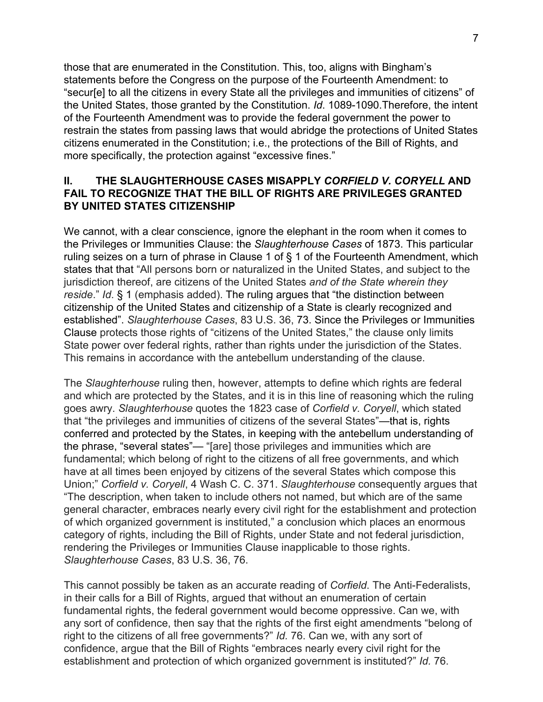those that are enumerated in the Constitution. This, too, aligns with Bingham's statements before the Congress on the purpose of the Fourteenth Amendment: to "secur[e] to all the citizens in every State all the privileges and immunities of citizens" of the United States, those granted by the Constitution. *Id*. 1089-1090.Therefore, the intent of the Fourteenth Amendment was to provide the federal government the power to restrain the states from passing laws that would abridge the protections of United States citizens enumerated in the Constitution; i.e., the protections of the Bill of Rights, and more specifically, the protection against "excessive fines."

### **II. THE SLAUGHTERHOUSE CASES MISAPPLY** *CORFIELD V. CORYELL* **AND FAIL TO RECOGNIZE THAT THE BILL OF RIGHTS ARE PRIVILEGES GRANTED BY UNITED STATES CITIZENSHIP**

We cannot, with a clear conscience, ignore the elephant in the room when it comes to the Privileges or Immunities Clause: the *Slaughterhouse Cases* of 1873. This particular ruling seizes on a turn of phrase in Clause 1 of § 1 of the Fourteenth Amendment, which states that that "All persons born or naturalized in the United States, and subject to the jurisdiction thereof, are citizens of the United States *and of the State wherein they reside*." *Id*. § 1 (emphasis added). The ruling argues that "the distinction between citizenship of the United States and citizenship of a State is clearly recognized and established". *Slaughterhouse Cases*, 83 U.S. 36, 73. Since the Privileges or Immunities Clause protects those rights of "citizens of the United States," the clause only limits State power over federal rights, rather than rights under the jurisdiction of the States. This remains in accordance with the antebellum understanding of the clause.

The *Slaughterhouse* ruling then, however, attempts to define which rights are federal and which are protected by the States, and it is in this line of reasoning which the ruling goes awry. *Slaughterhouse* quotes the 1823 case of *Corfield v. Coryell*, which stated that "the privileges and immunities of citizens of the several States"—that is, rights conferred and protected by the States, in keeping with the antebellum understanding of the phrase, "several states"— "[are] those privileges and immunities which are fundamental; which belong of right to the citizens of all free governments, and which have at all times been enjoyed by citizens of the several States which compose this Union;" *Corfield v. Coryell*, 4 Wash C. C. 371. *Slaughterhouse* consequently argues that "The description, when taken to include others not named, but which are of the same general character, embraces nearly every civil right for the establishment and protection of which organized government is instituted," a conclusion which places an enormous category of rights, including the Bill of Rights, under State and not federal jurisdiction, rendering the Privileges or Immunities Clause inapplicable to those rights. *Slaughterhouse Cases*, 83 U.S. 36, 76.

This cannot possibly be taken as an accurate reading of *Corfield*. The Anti-Federalists, in their calls for a Bill of Rights, argued that without an enumeration of certain fundamental rights, the federal government would become oppressive. Can we, with any sort of confidence, then say that the rights of the first eight amendments "belong of right to the citizens of all free governments?" *Id.* 76. Can we, with any sort of confidence, argue that the Bill of Rights "embraces nearly every civil right for the establishment and protection of which organized government is instituted?" *Id.* 76.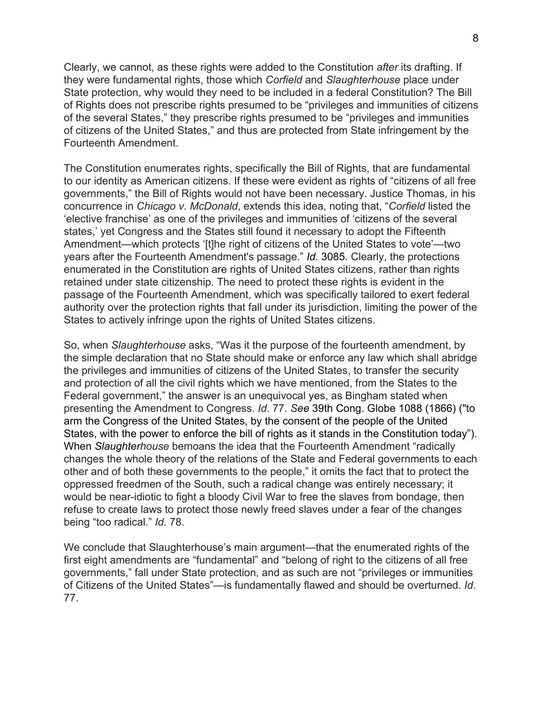Clearly, we cannot, as these rights were added to the Constitution *after* its drafting. If they were fundamental rights, those which *Corfield* and *Slaughterhouse* place under State protection, why would they need to be included in a federal Constitution? The Bill of Rights does not prescribe rights presumed to be "privileges and immunities of citizens of the several States," they prescribe rights presumed to be "privileges and immunities of citizens of the United States," and thus are protected from State infringement by the Fourteenth Amendment.

The Constitution enumerates rights, specifically the Bill of Rights, that are fundamental to our identity as American citizens. If these were evident as rights of "citizens of all free governments," the Bill of Rights would not have been necessary. Justice Thomas, in his concurrence in *Chicago v. McDonald*, extends this idea, noting that, "*Corfield* listed the 'elective franchise' as one of the privileges and immunities of 'citizens of the several states,' yet Congress and the States still found it necessary to adopt the Fifteenth Amendment—which protects '[t]he right of citizens of the United States to vote'—two years after the Fourteenth Amendment's passage." *Id.* 3085. Clearly, the protections enumerated in the Constitution are rights of United States citizens, rather than rights retained under state citizenship. The need to protect these rights is evident in the passage of the Fourteenth Amendment, which was specifically tailored to exert federal authority over the protection rights that fall under its jurisdiction, limiting the power of the States to actively infringe upon the rights of United States citizens.

So, when *Slaughterhouse* asks, "Was it the purpose of the fourteenth amendment, by the simple declaration that no State should make or enforce any law which shall abridge the privileges and immunities of citizens of the United States, to transfer the security and protection of all the civil rights which we have mentioned, from the States to the Federal government," the answer is an unequivocal yes, as Bingham stated when presenting the Amendment to Congress. *Id*. 77. *See* 39th Cong. Globe 1088 (1866) ("to arm the Congress of the United States, by the consent of the people of the United States, with the power to enforce the bill of rights as it stands in the Constitution today"). When *Slaughterhouse* bemoans the idea that the Fourteenth Amendment "radically changes the whole theory of the relations of the State and Federal governments to each other and of both these governments to the people," it omits the fact that to protect the oppressed freedmen of the South, such a radical change was entirely necessary; it would be near-idiotic to fight a bloody Civil War to free the slaves from bondage, then refuse to create laws to protect those newly freed slaves under a fear of the changes being "too radical." *Id.* 78.

We conclude that Slaughterhouse's main argument—that the enumerated rights of the first eight amendments are "fundamental" and "belong of right to the citizens of all free governments," fall under State protection, and as such are not "privileges or immunities of Citizens of the United States"—is fundamentally flawed and should be overturned. *Id.* 77.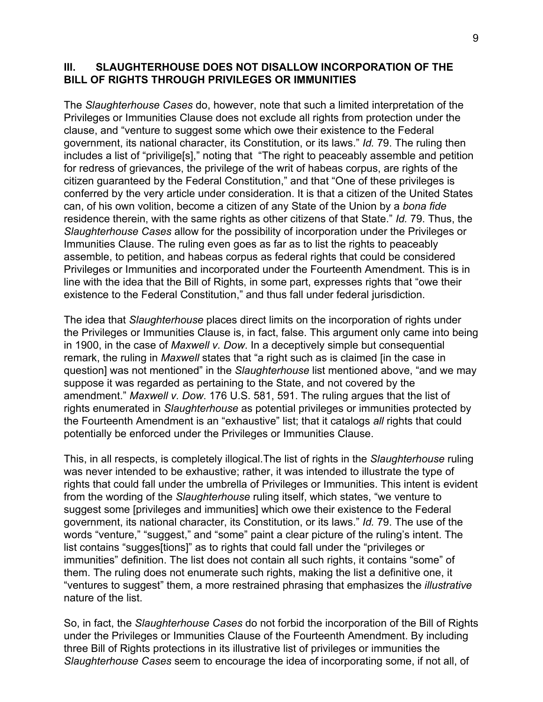#### **III. SLAUGHTERHOUSE DOES NOT DISALLOW INCORPORATION OF THE BILL OF RIGHTS THROUGH PRIVILEGES OR IMMUNITIES**

The *Slaughterhouse Cases* do, however, note that such a limited interpretation of the Privileges or Immunities Clause does not exclude all rights from protection under the clause, and "venture to suggest some which owe their existence to the Federal government, its national character, its Constitution, or its laws." *Id.* 79. The ruling then includes a list of "privilige[s]," noting that "The right to peaceably assemble and petition for redress of grievances, the privilege of the writ of habeas corpus, are rights of the citizen guaranteed by the Federal Constitution," and that "One of these privileges is conferred by the very article under consideration. It is that a citizen of the United States can, of his own volition, become a citizen of any State of the Union by a *bona fide* residence therein, with the same rights as other citizens of that State." *Id.* 79. Thus, the *Slaughterhouse Cases* allow for the possibility of incorporation under the Privileges or Immunities Clause. The ruling even goes as far as to list the rights to peaceably assemble, to petition, and habeas corpus as federal rights that could be considered Privileges or Immunities and incorporated under the Fourteenth Amendment. This is in line with the idea that the Bill of Rights, in some part, expresses rights that "owe their existence to the Federal Constitution," and thus fall under federal jurisdiction.

The idea that *Slaughterhouse* places direct limits on the incorporation of rights under the Privileges or Immunities Clause is, in fact, false. This argument only came into being in 1900, in the case of *Maxwell v. Dow*. In a deceptively simple but consequential remark, the ruling in *Maxwell* states that "a right such as is claimed [in the case in question] was not mentioned" in the *Slaughterhouse* list mentioned above, "and we may suppose it was regarded as pertaining to the State, and not covered by the amendment." *Maxwell v. Dow*. 176 U.S. 581, 591. The ruling argues that the list of rights enumerated in *Slaughterhouse* as potential privileges or immunities protected by the Fourteenth Amendment is an "exhaustive" list; that it catalogs *all* rights that could potentially be enforced under the Privileges or Immunities Clause.

This, in all respects, is completely illogical.The list of rights in the *Slaughterhouse* ruling was never intended to be exhaustive; rather, it was intended to illustrate the type of rights that could fall under the umbrella of Privileges or Immunities. This intent is evident from the wording of the *Slaughterhouse* ruling itself, which states, "we venture to suggest some [privileges and immunities] which owe their existence to the Federal government, its national character, its Constitution, or its laws." *Id.* 79. The use of the words "venture," "suggest," and "some" paint a clear picture of the ruling's intent. The list contains "sugges[tions]" as to rights that could fall under the "privileges or immunities" definition. The list does not contain all such rights, it contains "some" of them. The ruling does not enumerate such rights, making the list a definitive one, it "ventures to suggest" them, a more restrained phrasing that emphasizes the *illustrative* nature of the list.

So, in fact, the *Slaughterhouse Cases* do not forbid the incorporation of the Bill of Rights under the Privileges or Immunities Clause of the Fourteenth Amendment. By including three Bill of Rights protections in its illustrative list of privileges or immunities the *Slaughterhouse Cases* seem to encourage the idea of incorporating some, if not all, of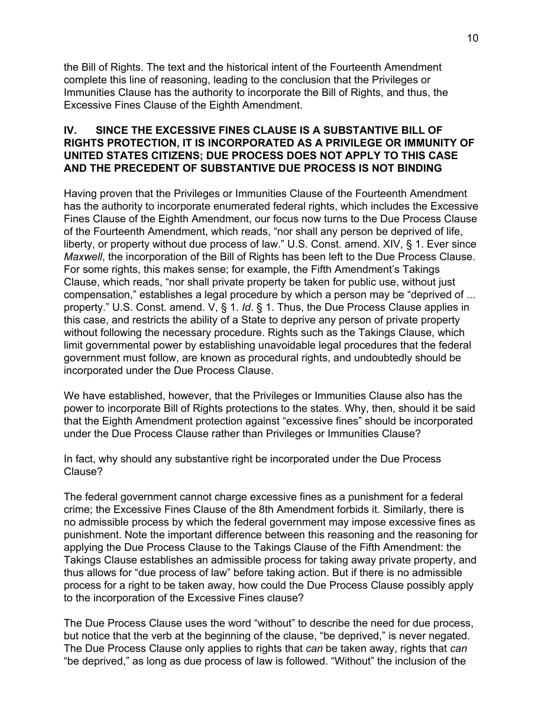the Bill of Rights. The text and the historical intent of the Fourteenth Amendment complete this line of reasoning, leading to the conclusion that the Privileges or Immunities Clause has the authority to incorporate the Bill of Rights, and thus, the Excessive Fines Clause of the Eighth Amendment.

#### **IV. SINCE THE EXCESSIVE FINES CLAUSE IS A SUBSTANTIVE BILL OF RIGHTS PROTECTION, IT IS INCORPORATED AS A PRIVILEGE OR IMMUNITY OF UNITED STATES CITIZENS; DUE PROCESS DOES NOT APPLY TO THIS CASE AND THE PRECEDENT OF SUBSTANTIVE DUE PROCESS IS NOT BINDING**

Having proven that the Privileges or Immunities Clause of the Fourteenth Amendment has the authority to incorporate enumerated federal rights, which includes the Excessive Fines Clause of the Eighth Amendment, our focus now turns to the Due Process Clause of the Fourteenth Amendment, which reads, "nor shall any person be deprived of life, liberty, or property without due process of law." U.S. Const. amend. XIV, § 1. Ever since *Maxwell*, the incorporation of the Bill of Rights has been left to the Due Process Clause. For some rights, this makes sense; for example, the Fifth Amendment's Takings Clause, which reads, "nor shall private property be taken for public use, without just compensation," establishes a legal procedure by which a person may be "deprived of ... property." U.S. Const. amend. V, § 1. *Id*. § 1. Thus, the Due Process Clause applies in this case, and restricts the ability of a State to deprive any person of private property without following the necessary procedure. Rights such as the Takings Clause, which limit governmental power by establishing unavoidable legal procedures that the federal government must follow, are known as procedural rights, and undoubtedly should be incorporated under the Due Process Clause.

We have established, however, that the Privileges or Immunities Clause also has the power to incorporate Bill of Rights protections to the states. Why, then, should it be said that the Eighth Amendment protection against "excessive fines" should be incorporated under the Due Process Clause rather than Privileges or Immunities Clause?

In fact, why should any substantive right be incorporated under the Due Process Clause?

The federal government cannot charge excessive fines as a punishment for a federal crime; the Excessive Fines Clause of the 8th Amendment forbids it. Similarly, there is no admissible process by which the federal government may impose excessive fines as punishment. Note the important difference between this reasoning and the reasoning for applying the Due Process Clause to the Takings Clause of the Fifth Amendment: the Takings Clause establishes an admissible process for taking away private property, and thus allows for "due process of law" before taking action. But if there is no admissible process for a right to be taken away, how could the Due Process Clause possibly apply to the incorporation of the Excessive Fines clause?

The Due Process Clause uses the word "without" to describe the need for due process, but notice that the verb at the beginning of the clause, "be deprived," is never negated. The Due Process Clause only applies to rights that *can* be taken away, rights that *can* "be deprived," as long as due process of law is followed. "Without" the inclusion of the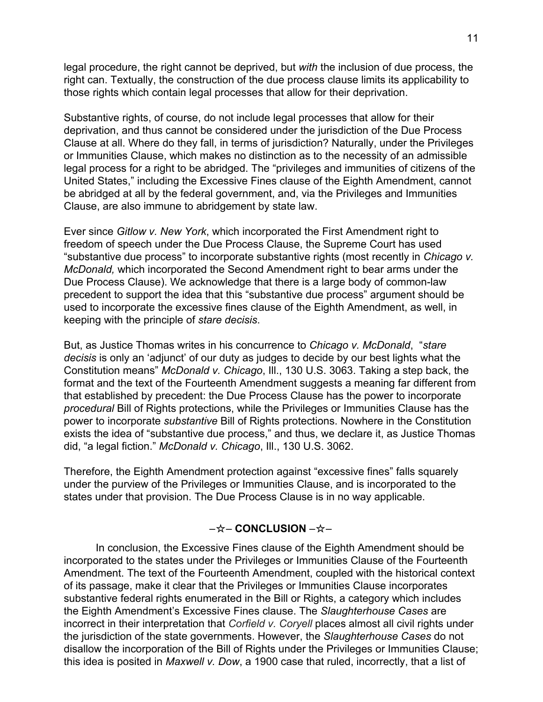legal procedure, the right cannot be deprived, but *with* the inclusion of due process, the right can. Textually, the construction of the due process clause limits its applicability to those rights which contain legal processes that allow for their deprivation.

Substantive rights, of course, do not include legal processes that allow for their deprivation, and thus cannot be considered under the jurisdiction of the Due Process Clause at all. Where do they fall, in terms of jurisdiction? Naturally, under the Privileges or Immunities Clause, which makes no distinction as to the necessity of an admissible legal process for a right to be abridged. The "privileges and immunities of citizens of the United States," including the Excessive Fines clause of the Eighth Amendment, cannot be abridged at all by the federal government, and, via the Privileges and Immunities Clause, are also immune to abridgement by state law.

Ever since *Gitlow v. New York*, which incorporated the First Amendment right to freedom of speech under the Due Process Clause, the Supreme Court has used "substantive due process" to incorporate substantive rights (most recently in *Chicago v. McDonald,* which incorporated the Second Amendment right to bear arms under the Due Process Clause). We acknowledge that there is a large body of common-law precedent to support the idea that this "substantive due process" argument should be used to incorporate the excessive fines clause of the Eighth Amendment, as well, in keeping with the principle of *stare decisis*.

But, as Justice Thomas writes in his concurrence to *Chicago v. McDonald*, "*stare decisis* is only an 'adjunct' of our duty as judges to decide by our best lights what the Constitution means" *McDonald v. Chicago*, Ill., 130 U.S. 3063. Taking a step back, the format and the text of the Fourteenth Amendment suggests a meaning far different from that established by precedent: the Due Process Clause has the power to incorporate *procedural* Bill of Rights protections, while the Privileges or Immunities Clause has the power to incorporate *substantive* Bill of Rights protections. Nowhere in the Constitution exists the idea of "substantive due process," and thus, we declare it, as Justice Thomas did, "a legal fiction." *McDonald v. Chicago*, Ill., 130 U.S. 3062.

Therefore, the Eighth Amendment protection against "excessive fines" falls squarely under the purview of the Privileges or Immunities Clause, and is incorporated to the states under that provision. The Due Process Clause is in no way applicable.

#### –☆– **CONCLUSION** –☆–

In conclusion, the Excessive Fines clause of the Eighth Amendment should be incorporated to the states under the Privileges or Immunities Clause of the Fourteenth Amendment. The text of the Fourteenth Amendment, coupled with the historical context of its passage, make it clear that the Privileges or Immunities Clause incorporates substantive federal rights enumerated in the Bill or Rights, a category which includes the Eighth Amendment's Excessive Fines clause. The *Slaughterhouse Cases* are incorrect in their interpretation that *Corfield v. Coryell* places almost all civil rights under the jurisdiction of the state governments. However, the *Slaughterhouse Cases* do not disallow the incorporation of the Bill of Rights under the Privileges or Immunities Clause; this idea is posited in *Maxwell v. Dow*, a 1900 case that ruled, incorrectly, that a list of